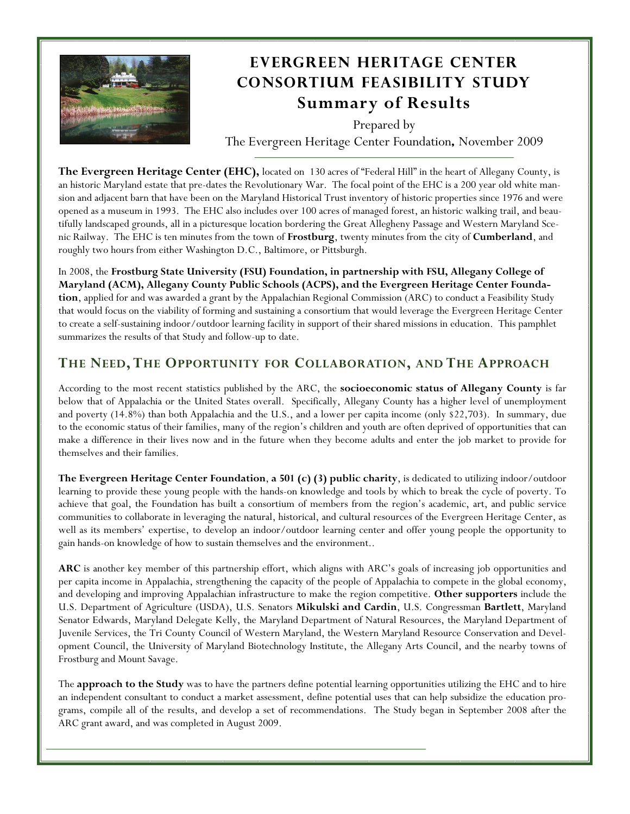

# **Evergreen Heritage Center Consortium Feasibility Study Summary of Results**

Prepared by The Evergreen Heritage Center Foundation**,** November 2009

**The Evergreen Heritage Center (EHC),** located on 130 acres of "Federal Hill" in the heart of Allegany County, is an historic Maryland estate that pre-dates the Revolutionary War. The focal point of the EHC is a 200 year old white mansion and adjacent barn that have been on the Maryland Historical Trust inventory of historic properties since 1976 and were opened as a museum in 1993. The EHC also includes over 100 acres of managed forest, an historic walking trail, and beautifully landscaped grounds, all in a picturesque location bordering the Great Allegheny Passage and Western Maryland Scenic Railway. The EHC is ten minutes from the town of **Frostburg**, twenty minutes from the city of **Cumberland**, and roughly two hours from either Washington D.C., Baltimore, or Pittsburgh.

In 2008, the **Frostburg State University (FSU) Foundation, in partnership with FSU, Allegany College of Maryland (ACM), Allegany County Public Schools (ACPS), and the Evergreen Heritage Center Foundation**, applied for and was awarded a grant by the Appalachian Regional Commission (ARC) to conduct a Feasibility Study that would focus on the viability of forming and sustaining a consortium that would leverage the Evergreen Heritage Center to create a self-sustaining indoor/outdoor learning facility in support of their shared missions in education. This pamphlet summarizes the results of that Study and follow-up to date.

## **THE NEED, THE OPPORTUNITY FOR COLLABORATION, AND THE APPROACH**

According to the most recent statistics published by the ARC, the **socioeconomic status of Allegany County** is far below that of Appalachia or the United States overall. Specifically, Allegany County has a higher level of unemployment and poverty (14.8%) than both Appalachia and the U.S., and a lower per capita income (only \$22,703). In summary, due to the economic status of their families, many of the region's children and youth are often deprived of opportunities that can make a difference in their lives now and in the future when they become adults and enter the job market to provide for themselves and their families.

**The Evergreen Heritage Center Foundation**, **a 501 (c) (3) public charity**, is dedicated to utilizing indoor/outdoor learning to provide these young people with the hands-on knowledge and tools by which to break the cycle of poverty. To achieve that goal, the Foundation has built a consortium of members from the region's academic, art, and public service communities to collaborate in leveraging the natural, historical, and cultural resources of the Evergreen Heritage Center, as well as its members' expertise, to develop an indoor/outdoor learning center and offer young people the opportunity to gain hands-on knowledge of how to sustain themselves and the environment..

**ARC** is another key member of this partnership effort, which aligns with ARC's goals of increasing job opportunities and per capita income in Appalachia, strengthening the capacity of the people of Appalachia to compete in the global economy, and developing and improving Appalachian infrastructure to make the region competitive. **Other supporters** include the U.S. Department of Agriculture (USDA), U.S. Senators **Mikulski and Cardin**, U.S. Congressman **Bartlett**, Maryland Senator Edwards, Maryland Delegate Kelly, the Maryland Department of Natural Resources, the Maryland Department of Juvenile Services, the Tri County Council of Western Maryland, the Western Maryland Resource Conservation and Development Council, the University of Maryland Biotechnology Institute, the Allegany Arts Council, and the nearby towns of Frostburg and Mount Savage.

The **approach to the Study** was to have the partners define potential learning opportunities utilizing the EHC and to hire an independent consultant to conduct a market assessment, define potential uses that can help subsidize the education programs, compile all of the results, and develop a set of recommendations. The Study began in September 2008 after the ARC grant award, and was completed in August 2009.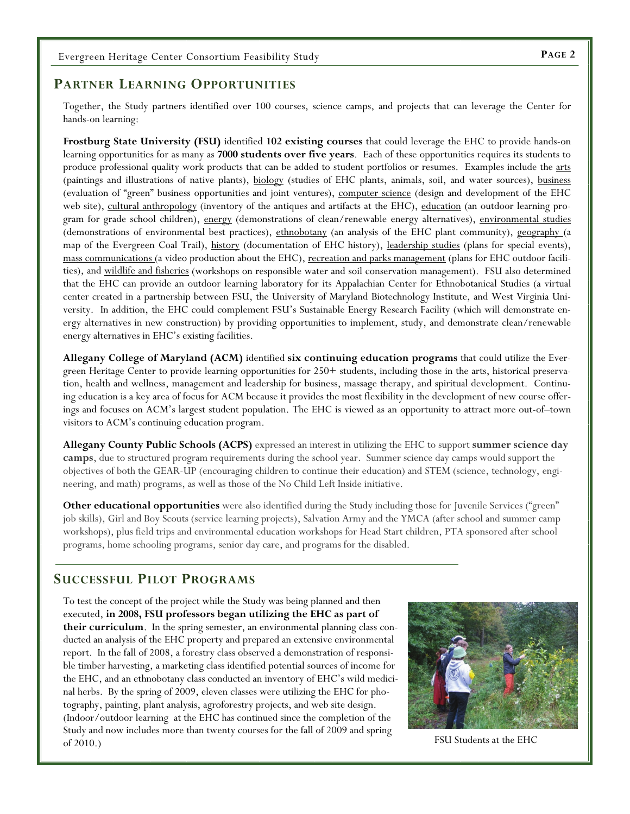#### **PARTNER LEARNING OPPORTUNITIES**

Together, the Study partners identified over 100 courses, science camps, and projects that can leverage the Center for hands-on learning:

**Frostburg State University (FSU)** identified **102 existing courses** that could leverage the EHC to provide hands-on learning opportunities for as many as **7000 students over five years**. Each of these opportunities requires its students to produce professional quality work products that can be added to student portfolios or resumes. Examples include the arts (paintings and illustrations of native plants), biology (studies of EHC plants, animals, soil, and water sources), business (evaluation of "green" business opportunities and joint ventures), computer science (design and development of the EHC web site), cultural anthropology (inventory of the antiques and artifacts at the EHC), education (an outdoor learning program for grade school children), energy (demonstrations of clean/renewable energy alternatives), environmental studies (demonstrations of environmental best practices), ethnobotany (an analysis of the EHC plant community), geography (a map of the Evergreen Coal Trail), history (documentation of EHC history), leadership studies (plans for special events), mass communications (a video production about the EHC), recreation and parks management (plans for EHC outdoor facilities), and wildlife and fisheries (workshops on responsible water and soil conservation management). FSU also determined that the EHC can provide an outdoor learning laboratory for its Appalachian Center for Ethnobotanical Studies (a virtual center created in a partnership between FSU, the University of Maryland Biotechnology Institute, and West Virginia University. In addition, the EHC could complement FSU's Sustainable Energy Research Facility (which will demonstrate energy alternatives in new construction) by providing opportunities to implement, study, and demonstrate clean/renewable energy alternatives in EHC's existing facilities.

**Allegany College of Maryland (ACM)** identified **six continuing education programs** that could utilize the Evergreen Heritage Center to provide learning opportunities for 250+ students, including those in the arts, historical preservation, health and wellness, management and leadership for business, massage therapy, and spiritual development. Continuing education is a key area of focus for ACM because it provides the most flexibility in the development of new course offerings and focuses on ACM's largest student population. The EHC is viewed as an opportunity to attract more out-of–town visitors to ACM's continuing education program.

**Allegany County Public Schools (ACPS)** expressed an interest in utilizing the EHC to support **summer science day camps**, due to structured program requirements during the school year. Summer science day camps would support the objectives of both the GEAR-UP (encouraging children to continue their education) and STEM (science, technology, engineering, and math) programs, as well as those of the No Child Left Inside initiative.

**Other educational opportunities** were also identified during the Study including those for Juvenile Services ("green" job skills), Girl and Boy Scouts (service learning projects), Salvation Army and the YMCA (after school and summer camp workshops), plus field trips and environmental education workshops for Head Start children, PTA sponsored after school programs, home schooling programs, senior day care, and programs for the disabled.

#### **SUCCESSFUL PILOT PROGRAMS**

To test the concept of the project while the Study was being planned and then executed, **in 2008, FSU professors began utilizing the EHC as part of their curriculum**. In the spring semester, an environmental planning class conducted an analysis of the EHC property and prepared an extensive environmental report. In the fall of 2008, a forestry class observed a demonstration of responsible timber harvesting, a marketing class identified potential sources of income for the EHC, and an ethnobotany class conducted an inventory of EHC's wild medicinal herbs. By the spring of 2009, eleven classes were utilizing the EHC for photography, painting, plant analysis, agroforestry projects, and web site design. (Indoor/outdoor learning at the EHC has continued since the completion of the Study and now includes more than twenty courses for the fall of 2009 and spring of  $2010$ .) FSU Students at the EHC

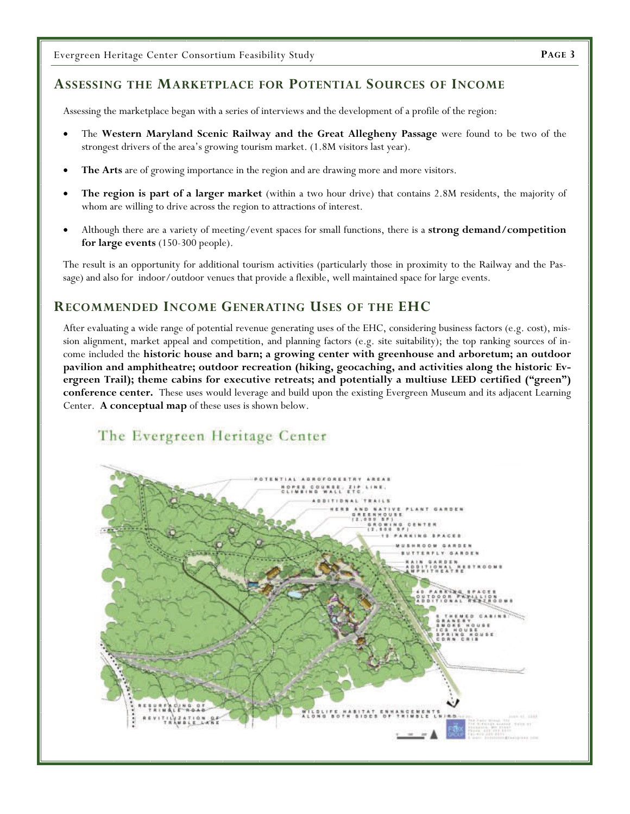### **ASSESSING THE MARKETPLACE FOR POTENTIAL SOURCES OF INCOME**

Assessing the marketplace began with a series of interviews and the development of a profile of the region:

- The **Western Maryland Scenic Railway and the Great Allegheny Passage** were found to be two of the strongest drivers of the area's growing tourism market. (1.8M visitors last year).
- **The Arts** are of growing importance in the region and are drawing more and more visitors.
- **The region is part of a larger market** (within a two hour drive) that contains 2.8M residents, the majority of whom are willing to drive across the region to attractions of interest.
- Although there are a variety of meeting/event spaces for small functions, there is a **strong demand/competition for large events** (150-300 people).

The result is an opportunity for additional tourism activities (particularly those in proximity to the Railway and the Passage) and also for indoor/outdoor venues that provide a flexible, well maintained space for large events.

#### **RECOMMENDED INCOME GENERATING USES OF THE EHC**

After evaluating a wide range of potential revenue generating uses of the EHC, considering business factors (e.g. cost), mission alignment, market appeal and competition, and planning factors (e.g. site suitability); the top ranking sources of income included the **historic house and barn; a growing center with greenhouse and arboretum; an outdoor pavilion and amphitheatre; outdoor recreation (hiking, geocaching, and activities along the historic Evergreen Trail); theme cabins for executive retreats; and potentially a multiuse LEED certified ("green") conference center.** These uses would leverage and build upon the existing Evergreen Museum and its adjacent Learning Center. **A conceptual map** of these uses is shown below.

# The Evergreen Heritage Center